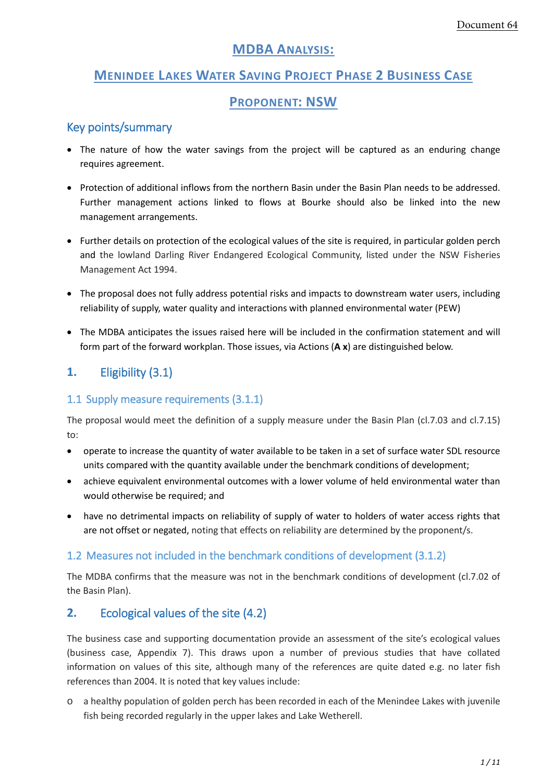# **MDBA ANALYSIS:**

# **MENINDEE LAKES WATER SAVING PROJECT PHASE 2 BUSINESS CASE**

#### **PROPONENT: NSW**

#### Key points/summary

- The nature of how the water savings from the project will be captured as an enduring change requires agreement.
- Protection of additional inflows from the northern Basin under the Basin Plan needs to be addressed. Further management actions linked to flows at Bourke should also be linked into the new management arrangements.
- Further details on protection of the ecological values of the site is required, in particular golden perch and the lowland Darling River Endangered Ecological Community, listed under the NSW Fisheries Management Act 1994.
- The proposal does not fully address potential risks and impacts to downstream water users, including reliability of supply, water quality and interactions with planned environmental water (PEW)
- The MDBA anticipates the issues raised here will be included in the confirmation statement and will form part of the forward workplan. Those issues, via Actions (**A x**) are distinguished below.

# **1.** Eligibility (3.1)

#### 1.1 Supply measure requirements (3.1.1)

The proposal would meet the definition of a supply measure under the Basin Plan (cl.7.03 and cl.7.15) to:

- operate to increase the quantity of water available to be taken in a set of surface water SDL resource units compared with the quantity available under the benchmark conditions of development;
- achieve equivalent environmental outcomes with a lower volume of held environmental water than would otherwise be required; and
- have no detrimental impacts on reliability of supply of water to holders of water access rights that are not offset or negated, noting that effects on reliability are determined by the proponent/s.

#### 1.2 Measures not included in the benchmark conditions of development (3.1.2)

The MDBA confirms that the measure was not in the benchmark conditions of development (cl.7.02 of the Basin Plan).

## **2.** Ecological values of the site (4.2)

The business case and supporting documentation provide an assessment of the site's ecological values (business case, Appendix 7). This draws upon a number of previous studies that have collated information on values of this site, although many of the references are quite dated e.g. no later fish references than 2004. It is noted that key values include:

o a healthy population of golden perch has been recorded in each of the Menindee Lakes with juvenile fish being recorded regularly in the upper lakes and Lake Wetherell.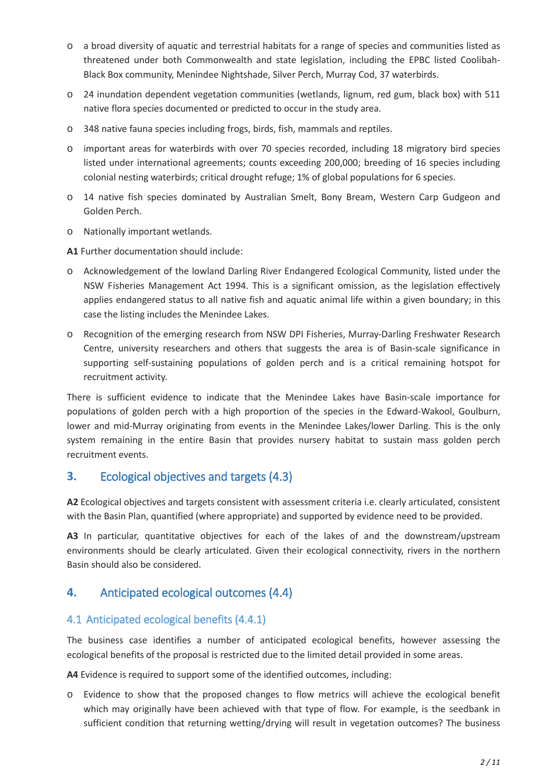- o a broad diversity of aquatic and terrestrial habitats for a range of species and communities listed as threatened under both Commonwealth and state legislation, including the EPBC listed Coolibah-Black Box community, Menindee Nightshade, Silver Perch, Murray Cod, 37 waterbirds.
- o 24 inundation dependent vegetation communities (wetlands, lignum, red gum, black box) with 511 native flora species documented or predicted to occur in the study area.
- o 348 native fauna species including frogs, birds, fish, mammals and reptiles.
- o important areas for waterbirds with over 70 species recorded, including 18 migratory bird species listed under international agreements; counts exceeding 200,000; breeding of 16 species including colonial nesting waterbirds; critical drought refuge; 1% of global populations for 6 species.
- o 14 native fish species dominated by Australian Smelt, Bony Bream, Western Carp Gudgeon and Golden Perch.
- o Nationally important wetlands.

**A1** Further documentation should include:

- o Acknowledgement of the lowland Darling River Endangered Ecological Community, listed under the NSW Fisheries Management Act 1994. This is a significant omission, as the legislation effectively applies endangered status to all native fish and aquatic animal life within a given boundary; in this case the listing includes the Menindee Lakes.
- o Recognition of the emerging research from NSW DPI Fisheries, Murray-Darling Freshwater Research Centre, university researchers and others that suggests the area is of Basin-scale significance in supporting self-sustaining populations of golden perch and is a critical remaining hotspot for recruitment activity.

There is sufficient evidence to indicate that the Menindee Lakes have Basin-scale importance for populations of golden perch with a high proportion of the species in the Edward-Wakool, Goulburn, lower and mid-Murray originating from events in the Menindee Lakes/lower Darling. This is the only system remaining in the entire Basin that provides nursery habitat to sustain mass golden perch recruitment events.

## **3.** Ecological objectives and targets (4.3)

**A2** Ecological objectives and targets consistent with assessment criteria i.e. clearly articulated, consistent with the Basin Plan, quantified (where appropriate) and supported by evidence need to be provided.

**A3** In particular, quantitative objectives for each of the lakes of and the downstream/upstream environments should be clearly articulated. Given their ecological connectivity, rivers in the northern Basin should also be considered.

## **4.** Anticipated ecological outcomes (4.4)

#### 4.1 Anticipated ecological benefits (4.4.1)

The business case identifies a number of anticipated ecological benefits, however assessing the ecological benefits of the proposal is restricted due to the limited detail provided in some areas.

**A4** Evidence is required to support some of the identified outcomes, including:

o Evidence to show that the proposed changes to flow metrics will achieve the ecological benefit which may originally have been achieved with that type of flow. For example, is the seedbank in sufficient condition that returning wetting/drying will result in vegetation outcomes? The business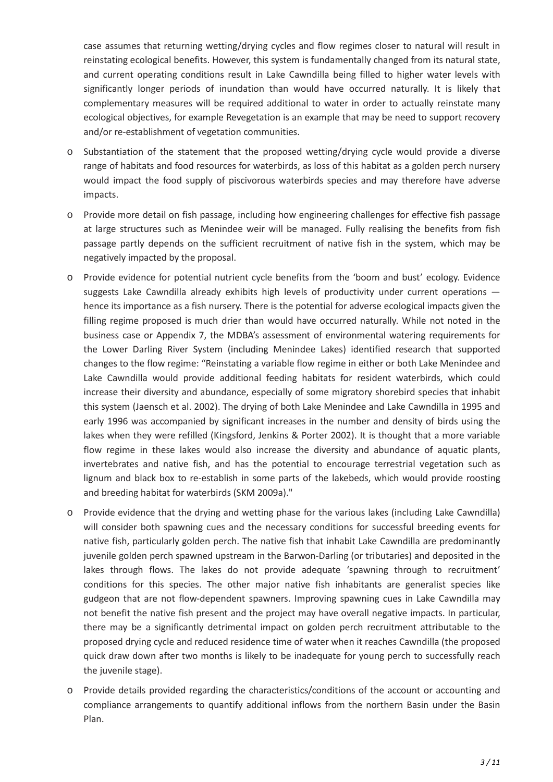case assumes that returning wetting/drying cycles and flow regimes closer to natural will result in reinstating ecological benefits. However, this system is fundamentally changed from its natural state, and current operating conditions result in Lake Cawndilla being filled to higher water levels with significantly longer periods of inundation than would have occurred naturally. It is likely that complementary measures will be required additional to water in order to actually reinstate many ecological objectives, for example Revegetation is an example that may be need to support recovery and/or re-establishment of vegetation communities.

- o Substantiation of the statement that the proposed wetting/drying cycle would provide a diverse range of habitats and food resources for waterbirds, as loss of this habitat as a golden perch nursery would impact the food supply of piscivorous waterbirds species and may therefore have adverse impacts.
- o Provide more detail on fish passage, including how engineering challenges for effective fish passage at large structures such as Menindee weir will be managed. Fully realising the benefits from fish passage partly depends on the sufficient recruitment of native fish in the system, which may be negatively impacted by the proposal.
- o Provide evidence for potential nutrient cycle benefits from the 'boom and bust' ecology. Evidence suggests Lake Cawndilla already exhibits high levels of productivity under current operations hence its importance as a fish nursery. There is the potential for adverse ecological impacts given the filling regime proposed is much drier than would have occurred naturally. While not noted in the business case or Appendix 7, the MDBA's assessment of environmental watering requirements for the Lower Darling River System (including Menindee Lakes) identified research that supported changes to the flow regime: "Reinstating a variable flow regime in either or both Lake Menindee and Lake Cawndilla would provide additional feeding habitats for resident waterbirds, which could increase their diversity and abundance, especially of some migratory shorebird species that inhabit this system (Jaensch et al. 2002). The drying of both Lake Menindee and Lake Cawndilla in 1995 and early 1996 was accompanied by significant increases in the number and density of birds using the lakes when they were refilled (Kingsford, Jenkins & Porter 2002). It is thought that a more variable flow regime in these lakes would also increase the diversity and abundance of aquatic plants, invertebrates and native fish, and has the potential to encourage terrestrial vegetation such as lignum and black box to re-establish in some parts of the lakebeds, which would provide roosting and breeding habitat for waterbirds (SKM 2009a)."
- o Provide evidence that the drying and wetting phase for the various lakes (including Lake Cawndilla) will consider both spawning cues and the necessary conditions for successful breeding events for native fish, particularly golden perch. The native fish that inhabit Lake Cawndilla are predominantly juvenile golden perch spawned upstream in the Barwon-Darling (or tributaries) and deposited in the lakes through flows. The lakes do not provide adequate 'spawning through to recruitment' conditions for this species. The other major native fish inhabitants are generalist species like gudgeon that are not flow-dependent spawners. Improving spawning cues in Lake Cawndilla may not benefit the native fish present and the project may have overall negative impacts. In particular, there may be a significantly detrimental impact on golden perch recruitment attributable to the proposed drying cycle and reduced residence time of water when it reaches Cawndilla (the proposed quick draw down after two months is likely to be inadequate for young perch to successfully reach the juvenile stage).
- o Provide details provided regarding the characteristics/conditions of the account or accounting and compliance arrangements to quantify additional inflows from the northern Basin under the Basin Plan.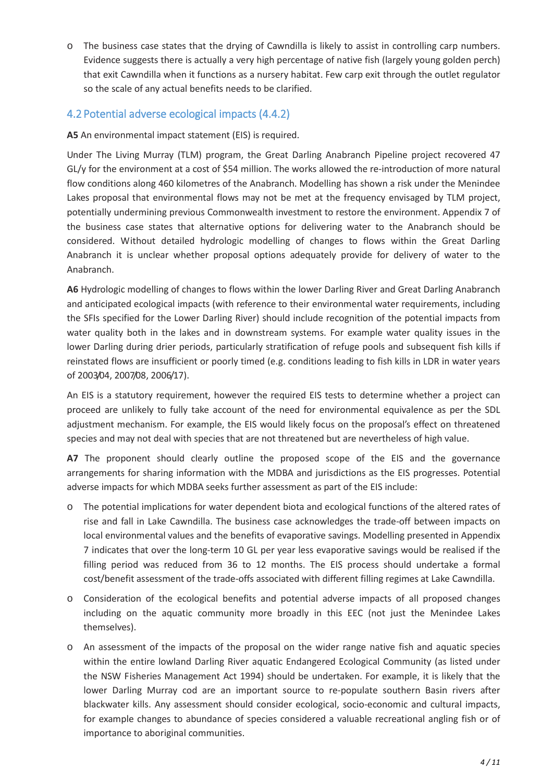o The business case states that the drying of Cawndilla is likely to assist in controlling carp numbers. Evidence suggests there is actually a very high percentage of native fish (largely young golden perch) that exit Cawndilla when it functions as a nursery habitat. Few carp exit through the outlet regulator so the scale of any actual benefits needs to be clarified.

## 4.2 Potential adverse ecological impacts (4.4.2)

**A5** An environmental impact statement (EIS) is required.

Under The Living Murray (TLM) program, the Great Darling Anabranch Pipeline project recovered 47 GL/y for the environment at a cost of \$54 million. The works allowed the re-introduction of more natural flow conditions along 460 kilometres of the Anabranch. Modelling has shown a risk under the Menindee Lakes proposal that environmental flows may not be met at the frequency envisaged by TLM project, potentially undermining previous Commonwealth investment to restore the environment. Appendix 7 of the business case states that alternative options for delivering water to the Anabranch should be considered. Without detailed hydrologic modelling of changes to flows within the Great Darling Anabranch it is unclear whether proposal options adequately provide for delivery of water to the Anabranch.

**A6** Hydrologic modelling of changes to flows within the lower Darling River and Great Darling Anabranch and anticipated ecological impacts (with reference to their environmental water requirements, including the SFIs specified for the Lower Darling River) should include recognition of the potential impacts from water quality both in the lakes and in downstream systems. For example water quality issues in the lower Darling during drier periods, particularly stratification of refuge pools and subsequent fish kills if reinstated flows are insufficient or poorly timed (e.g. conditions leading to fish kills in LDR in water years of 2003/04, 2007/08, 2006/17).

An EIS is a statutory requirement, however the required EIS tests to determine whether a project can proceed are unlikely to fully take account of the need for environmental equivalence as per the SDL adjustment mechanism. For example, the EIS would likely focus on the proposal's effect on threatened species and may not deal with species that are not threatened but are nevertheless of high value.

**A7** The proponent should clearly outline the proposed scope of the EIS and the governance arrangements for sharing information with the MDBA and jurisdictions as the EIS progresses. Potential adverse impacts for which MDBA seeks further assessment as part of the EIS include:

- o The potential implications for water dependent biota and ecological functions of the altered rates of rise and fall in Lake Cawndilla. The business case acknowledges the trade-off between impacts on local environmental values and the benefits of evaporative savings. Modelling presented in Appendix 7 indicates that over the long-term 10 GL per year less evaporative savings would be realised if the filling period was reduced from 36 to 12 months. The EIS process should undertake a formal cost/benefit assessment of the trade-offs associated with different filling regimes at Lake Cawndilla.
- o Consideration of the ecological benefits and potential adverse impacts of all proposed changes including on the aquatic community more broadly in this EEC (not just the Menindee Lakes themselves).
- o An assessment of the impacts of the proposal on the wider range native fish and aquatic species within the entire lowland Darling River aquatic Endangered Ecological Community (as listed under the NSW Fisheries Management Act 1994) should be undertaken. For example, it is likely that the lower Darling Murray cod are an important source to re-populate southern Basin rivers after blackwater kills. Any assessment should consider ecological, socio-economic and cultural impacts, for example changes to abundance of species considered a valuable recreational angling fish or of importance to aboriginal communities.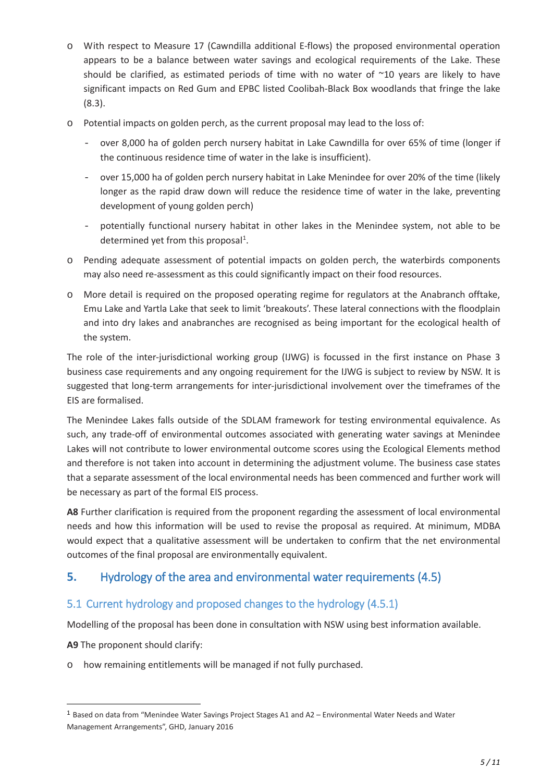- o With respect to Measure 17 (Cawndilla additional E-flows) the proposed environmental operation appears to be a balance between water savings and ecological requirements of the Lake. These should be clarified, as estimated periods of time with no water of  $\sim$ 10 years are likely to have significant impacts on Red Gum and EPBC listed Coolibah-Black Box woodlands that fringe the lake (8.3).
- o Potential impacts on golden perch, as the current proposal may lead to the loss of:
	- over 8,000 ha of golden perch nursery habitat in Lake Cawndilla for over 65% of time (longer if the continuous residence time of water in the lake is insufficient).
	- over 15,000 ha of golden perch nursery habitat in Lake Menindee for over 20% of the time (likely longer as the rapid draw down will reduce the residence time of water in the lake, preventing development of young golden perch)
	- potentially functional nursery habitat in other lakes in the Menindee system, not able to be determined yet from this proposal<sup>1</sup>.
- o Pending adequate assessment of potential impacts on golden perch, the waterbirds components may also need re-assessment as this could significantly impact on their food resources.
- o More detail is required on the proposed operating regime for regulators at the Anabranch offtake, Emu Lake and Yartla Lake that seek to limit 'breakouts'. These lateral connections with the floodplain and into dry lakes and anabranches are recognised as being important for the ecological health of the system.

The role of the inter-jurisdictional working group (IJWG) is focussed in the first instance on Phase 3 business case requirements and any ongoing requirement for the IJWG is subject to review by NSW. It is suggested that long-term arrangements for inter-jurisdictional involvement over the timeframes of the EIS are formalised.

The Menindee Lakes falls outside of the SDLAM framework for testing environmental equivalence. As such, any trade-off of environmental outcomes associated with generating water savings at Menindee Lakes will not contribute to lower environmental outcome scores using the Ecological Elements method and therefore is not taken into account in determining the adjustment volume. The business case states that a separate assessment of the local environmental needs has been commenced and further work will be necessary as part of the formal EIS process.

A8 Further clarification is required from the proponent regarding the assessment of local environmental needs and how this information will be used to revise the proposal as required. At minimum, MDBA would expect that a qualitative assessment will be undertaken to confirm that the net environmental outcomes of the final proposal are environmentally equivalent.

# **5.** Hydrology of the area and environmental water requirements (4.5)

## 5.1 Current hydrology and proposed changes to the hydrology (4.5.1)

Modelling of the proposal has been done in consultation with NSW using best information available.

**A9** The proponent should clarify:

-

o how remaining entitlements will be managed if not fully purchased.

<sup>1</sup> Based on data from "Menindee Water Savings Project Stages A1 and A2 – Environmental Water Needs and Water Management Arrangements", GHD, January 2016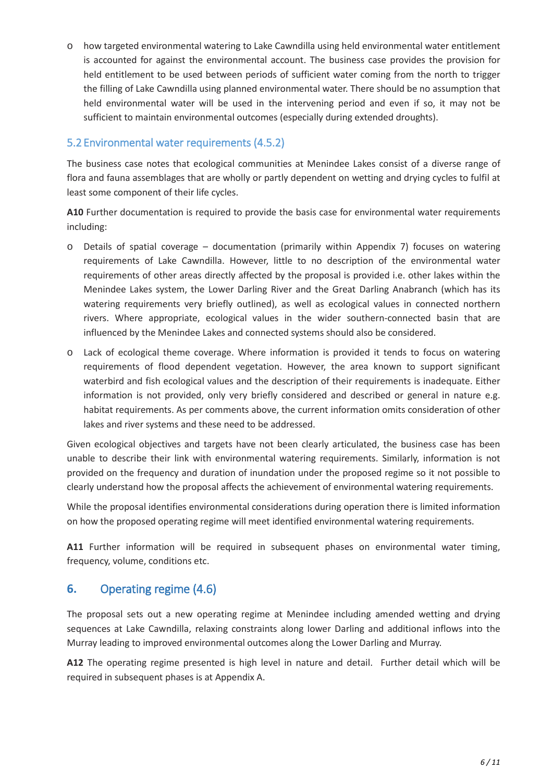o how targeted environmental watering to Lake Cawndilla using held environmental water entitlement is accounted for against the environmental account. The business case provides the provision for held entitlement to be used between periods of sufficient water coming from the north to trigger the filling of Lake Cawndilla using planned environmental water. There should be no assumption that held environmental water will be used in the intervening period and even if so, it may not be sufficient to maintain environmental outcomes (especially during extended droughts).

#### 5.2 Environmental water requirements (4.5.2)

The business case notes that ecological communities at Menindee Lakes consist of a diverse range of flora and fauna assemblages that are wholly or partly dependent on wetting and drying cycles to fulfil at least some component of their life cycles.

**A10** Further documentation is required to provide the basis case for environmental water requirements including:

- o Details of spatial coverage documentation (primarily within Appendix 7) focuses on watering requirements of Lake Cawndilla. However, little to no description of the environmental water requirements of other areas directly affected by the proposal is provided i.e. other lakes within the Menindee Lakes system, the Lower Darling River and the Great Darling Anabranch (which has its watering requirements very briefly outlined), as well as ecological values in connected northern rivers. Where appropriate, ecological values in the wider southern-connected basin that are influenced by the Menindee Lakes and connected systems should also be considered.
- o Lack of ecological theme coverage. Where information is provided it tends to focus on watering requirements of flood dependent vegetation. However, the area known to support significant waterbird and fish ecological values and the description of their requirements is inadequate. Either information is not provided, only very briefly considered and described or general in nature e.g. habitat requirements. As per comments above, the current information omits consideration of other lakes and river systems and these need to be addressed.

Given ecological objectives and targets have not been clearly articulated, the business case has been unable to describe their link with environmental watering requirements. Similarly, information is not provided on the frequency and duration of inundation under the proposed regime so it not possible to clearly understand how the proposal affects the achievement of environmental watering requirements.

While the proposal identifies environmental considerations during operation there is limited information on how the proposed operating regime will meet identified environmental watering requirements.

A11 Further information will be required in subsequent phases on environmental water timing, frequency, volume, conditions etc.

## **6.** Operating regime (4.6)

The proposal sets out a new operating regime at Menindee including amended wetting and drying sequences at Lake Cawndilla, relaxing constraints along lower Darling and additional inflows into the Murray leading to improved environmental outcomes along the Lower Darling and Murray.

**A12** The operating regime presented is high level in nature and detail. Further detail which will be required in subsequent phases is at Appendix A.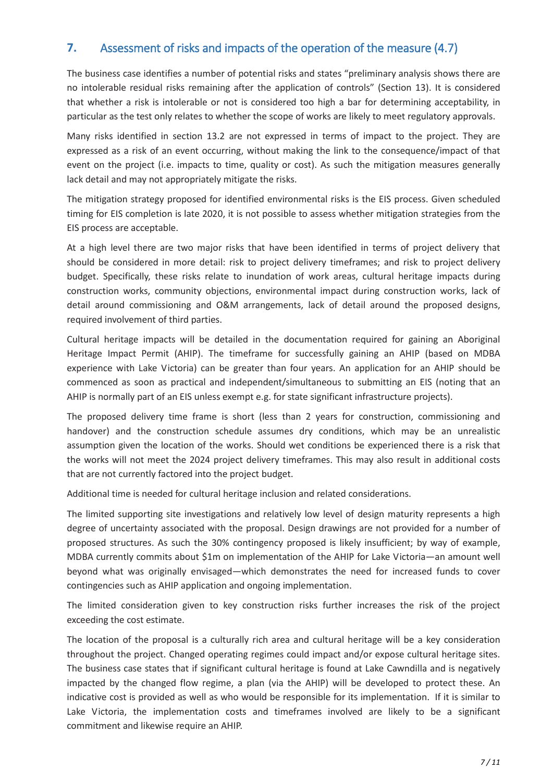# **7.** Assessment of risks and impacts of the operation of the measure (4.7)

The business case identifies a number of potential risks and states "preliminary analysis shows there are no intolerable residual risks remaining after the application of controls" (Section 13). It is considered that whether a risk is intolerable or not is considered too high a bar for determining acceptability, in particular as the test only relates to whether the scope of works are likely to meet regulatory approvals.

Many risks identified in section 13.2 are not expressed in terms of impact to the project. They are expressed as a risk of an event occurring, without making the link to the consequence/impact of that event on the project (i.e. impacts to time, quality or cost). As such the mitigation measures generally lack detail and may not appropriately mitigate the risks.

The mitigation strategy proposed for identified environmental risks is the EIS process. Given scheduled timing for EIS completion is late 2020, it is not possible to assess whether mitigation strategies from the EIS process are acceptable.

At a high level there are two major risks that have been identified in terms of project delivery that should be considered in more detail: risk to project delivery timeframes; and risk to project delivery budget. Specifically, these risks relate to inundation of work areas, cultural heritage impacts during construction works, community objections, environmental impact during construction works, lack of detail around commissioning and O&M arrangements, lack of detail around the proposed designs, required involvement of third parties.

Cultural heritage impacts will be detailed in the documentation required for gaining an Aboriginal Heritage Impact Permit (AHIP). The timeframe for successfully gaining an AHIP (based on MDBA experience with Lake Victoria) can be greater than four years. An application for an AHIP should be commenced as soon as practical and independent/simultaneous to submitting an EIS (noting that an AHIP is normally part of an EIS unless exempt e.g. for state significant infrastructure projects).

The proposed delivery time frame is short (less than 2 years for construction, commissioning and handover) and the construction schedule assumes dry conditions, which may be an unrealistic assumption given the location of the works. Should wet conditions be experienced there is a risk that the works will not meet the 2024 project delivery timeframes. This may also result in additional costs that are not currently factored into the project budget.

Additional time is needed for cultural heritage inclusion and related considerations.

The limited supporting site investigations and relatively low level of design maturity represents a high degree of uncertainty associated with the proposal. Design drawings are not provided for a number of proposed structures. As such the 30% contingency proposed is likely insufficient; by way of example, MDBA currently commits about \$1m on implementation of the AHIP for Lake Victoria—an amount well beyond what was originally envisaged—which demonstrates the need for increased funds to cover contingencies such as AHIP application and ongoing implementation.

The limited consideration given to key construction risks further increases the risk of the project exceeding the cost estimate.

The location of the proposal is a culturally rich area and cultural heritage will be a key consideration throughout the project. Changed operating regimes could impact and/or expose cultural heritage sites. The business case states that if significant cultural heritage is found at Lake Cawndilla and is negatively impacted by the changed flow regime, a plan (via the AHIP) will be developed to protect these. An indicative cost is provided as well as who would be responsible for its implementation. If it is similar to Lake Victoria, the implementation costs and timeframes involved are likely to be a significant commitment and likewise require an AHIP.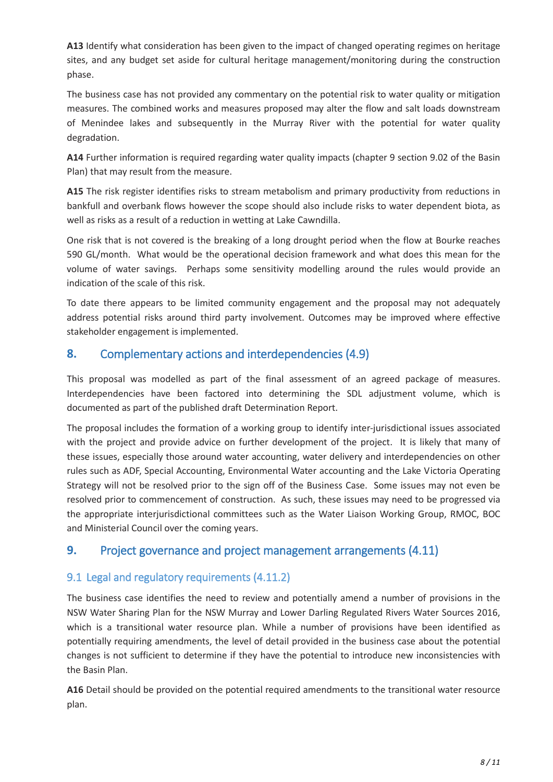**A13** Identify what consideration has been given to the impact of changed operating regimes on heritage sites, and any budget set aside for cultural heritage management/monitoring during the construction phase.

The business case has not provided any commentary on the potential risk to water quality or mitigation measures. The combined works and measures proposed may alter the flow and salt loads downstream of Menindee lakes and subsequently in the Murray River with the potential for water quality degradation.

**A14** Further information is required regarding water quality impacts (chapter 9 section 9.02 of the Basin Plan) that may result from the measure.

**A15** The risk register identifies risks to stream metabolism and primary productivity from reductions in bankfull and overbank flows however the scope should also include risks to water dependent biota, as well as risks as a result of a reduction in wetting at Lake Cawndilla.

One risk that is not covered is the breaking of a long drought period when the flow at Bourke reaches 590 GL/month. What would be the operational decision framework and what does this mean for the volume of water savings. Perhaps some sensitivity modelling around the rules would provide an indication of the scale of this risk.

To date there appears to be limited community engagement and the proposal may not adequately address potential risks around third party involvement. Outcomes may be improved where effective stakeholder engagement is implemented.

# **8.** Complementary actions and interdependencies (4.9)

This proposal was modelled as part of the final assessment of an agreed package of measures. Interdependencies have been factored into determining the SDL adjustment volume, which is documented as part of the published draft Determination Report.

The proposal includes the formation of a working group to identify inter-jurisdictional issues associated with the project and provide advice on further development of the project. It is likely that many of these issues, especially those around water accounting, water delivery and interdependencies on other rules such as ADF, Special Accounting, Environmental Water accounting and the Lake Victoria Operating Strategy will not be resolved prior to the sign off of the Business Case. Some issues may not even be resolved prior to commencement of construction. As such, these issues may need to be progressed via the appropriate interjurisdictional committees such as the Water Liaison Working Group, RMOC, BOC and Ministerial Council over the coming years.

# **9.** Project governance and project management arrangements (4.11)

## 9.1 Legal and regulatory requirements (4.11.2)

The business case identifies the need to review and potentially amend a number of provisions in the NSW Water Sharing Plan for the NSW Murray and Lower Darling Regulated Rivers Water Sources 2016, which is a transitional water resource plan. While a number of provisions have been identified as potentially requiring amendments, the level of detail provided in the business case about the potential changes is not sufficient to determine if they have the potential to introduce new inconsistencies with the Basin Plan.

**A16** Detail should be provided on the potential required amendments to the transitional water resource plan.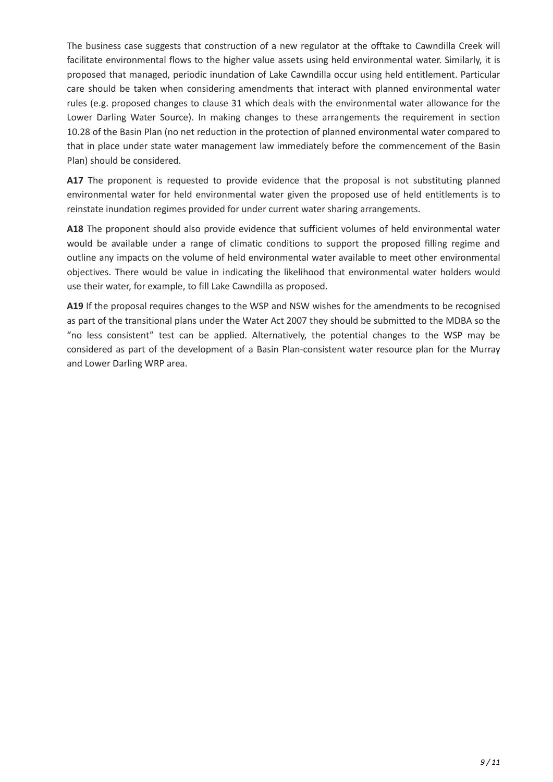The business case suggests that construction of a new regulator at the offtake to Cawndilla Creek will facilitate environmental flows to the higher value assets using held environmental water. Similarly, it is proposed that managed, periodic inundation of Lake Cawndilla occur using held entitlement. Particular care should be taken when considering amendments that interact with planned environmental water rules (e.g. proposed changes to clause 31 which deals with the environmental water allowance for the Lower Darling Water Source). In making changes to these arrangements the requirement in section 10.28 of the Basin Plan (no net reduction in the protection of planned environmental water compared to that in place under state water management law immediately before the commencement of the Basin Plan) should be considered.

A17 The proponent is requested to provide evidence that the proposal is not substituting planned environmental water for held environmental water given the proposed use of held entitlements is to reinstate inundation regimes provided for under current water sharing arrangements.

**A18** The proponent should also provide evidence that sufficient volumes of held environmental water would be available under a range of climatic conditions to support the proposed filling regime and outline any impacts on the volume of held environmental water available to meet other environmental objectives. There would be value in indicating the likelihood that environmental water holders would use their water, for example, to fill Lake Cawndilla as proposed.

**A19** If the proposal requires changes to the WSP and NSW wishes for the amendments to be recognised as part of the transitional plans under the Water Act 2007 they should be submitted to the MDBA so the "no less consistent" test can be applied. Alternatively, the potential changes to the WSP may be considered as part of the development of a Basin Plan-consistent water resource plan for the Murray and Lower Darling WRP area.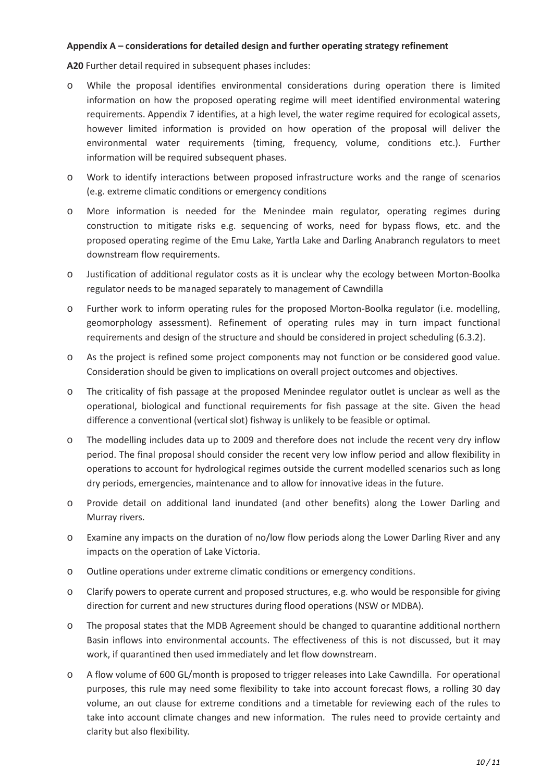#### **Appendix A – considerations for detailed design and further operating strategy refinement**

**A20** Further detail required in subsequent phases includes:

- o While the proposal identifies environmental considerations during operation there is limited information on how the proposed operating regime will meet identified environmental watering requirements. Appendix 7 identifies, at a high level, the water regime required for ecological assets, however limited information is provided on how operation of the proposal will deliver the environmental water requirements (timing, frequency, volume, conditions etc.). Further information will be required subsequent phases.
- o Work to identify interactions between proposed infrastructure works and the range of scenarios (e.g. extreme climatic conditions or emergency conditions
- o More information is needed for the Menindee main regulator, operating regimes during construction to mitigate risks e.g. sequencing of works, need for bypass flows, etc. and the proposed operating regime of the Emu Lake, Yartla Lake and Darling Anabranch regulators to meet downstream flow requirements.
- o Justification of additional regulator costs as it is unclear why the ecology between Morton-Boolka regulator needs to be managed separately to management of Cawndilla
- o Further work to inform operating rules for the proposed Morton-Boolka regulator (i.e. modelling, geomorphology assessment). Refinement of operating rules may in turn impact functional requirements and design of the structure and should be considered in project scheduling (6.3.2).
- o As the project is refined some project components may not function or be considered good value. Consideration should be given to implications on overall project outcomes and objectives.
- o The criticality of fish passage at the proposed Menindee regulator outlet is unclear as well as the operational, biological and functional requirements for fish passage at the site. Given the head difference a conventional (vertical slot) fishway is unlikely to be feasible or optimal.
- o The modelling includes data up to 2009 and therefore does not include the recent very dry inflow period. The final proposal should consider the recent very low inflow period and allow flexibility in operations to account for hydrological regimes outside the current modelled scenarios such as long dry periods, emergencies, maintenance and to allow for innovative ideas in the future.
- o Provide detail on additional land inundated (and other benefits) along the Lower Darling and Murray rivers.
- o Examine any impacts on the duration of no/low flow periods along the Lower Darling River and any impacts on the operation of Lake Victoria.
- o Outline operations under extreme climatic conditions or emergency conditions.
- o Clarify powers to operate current and proposed structures, e.g. who would be responsible for giving direction for current and new structures during flood operations (NSW or MDBA).
- o The proposal states that the MDB Agreement should be changed to quarantine additional northern Basin inflows into environmental accounts. The effectiveness of this is not discussed, but it may work, if quarantined then used immediately and let flow downstream.
- o A flow volume of 600 GL/month is proposed to trigger releases into Lake Cawndilla. For operational purposes, this rule may need some flexibility to take into account forecast flows, a rolling 30 day volume, an out clause for extreme conditions and a timetable for reviewing each of the rules to take into account climate changes and new information. The rules need to provide certainty and clarity but also flexibility.